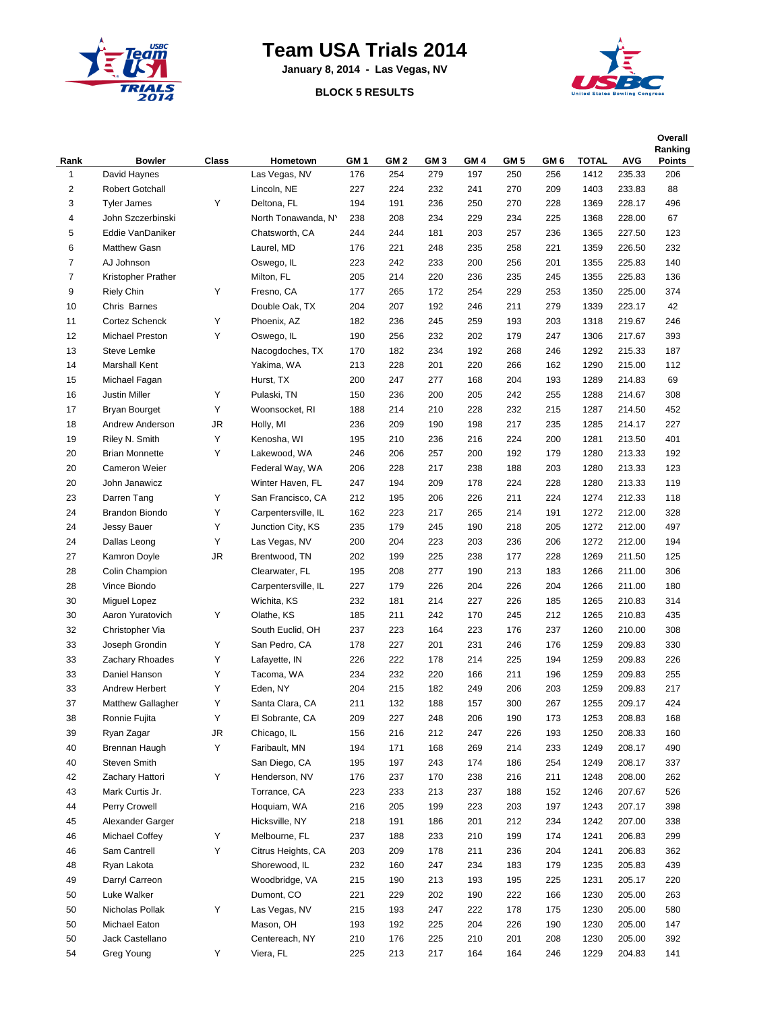

## **Team USA Trials 2014**

**January 8, 2014 - Las Vegas, NV**

## **BLOCK 5 RESULTS**



| Rank           | <b>Bowler</b>          | Class                  | Hometown            | GM 1 | GM <sub>2</sub> | GM <sub>3</sub> | GM <sub>4</sub> | GM <sub>5</sub> | GM <sub>6</sub> | <b>TOTAL</b> | <b>AVG</b> | Overall<br>Ranking<br><b>Points</b> |
|----------------|------------------------|------------------------|---------------------|------|-----------------|-----------------|-----------------|-----------------|-----------------|--------------|------------|-------------------------------------|
| 1              | David Haynes           |                        | Las Vegas, NV       | 176  | 254             | 279             | 197             | 250             | 256             | 1412         | 235.33     | 206                                 |
| 2              | <b>Robert Gotchall</b> |                        | Lincoln, NE         | 227  | 224             | 232             | 241             | 270             | 209             | 1403         | 233.83     | 88                                  |
| 3              | <b>Tyler James</b>     | Υ                      | Deltona, FL         | 194  | 191             | 236             | 250             | 270             | 228             | 1369         | 228.17     | 496                                 |
| 4              | John Szczerbinski      |                        | North Tonawanda, N' | 238  | 208             | 234             | 229             | 234             | 225             | 1368         | 228.00     | 67                                  |
| 5              | Eddie VanDaniker       |                        | Chatsworth, CA      | 244  | 244             | 181             | 203             | 257             | 236             | 1365         | 227.50     | 123                                 |
| 6              | Matthew Gasn           |                        | Laurel, MD          | 176  | 221             | 248             | 235             | 258             | 221             | 1359         | 226.50     | 232                                 |
| 7              | AJ Johnson             |                        | Oswego, IL          | 223  | 242             | 233             | 200             | 256             | 201             | 1355         | 225.83     | 140                                 |
| $\overline{7}$ | Kristopher Prather     |                        | Milton, FL          | 205  | 214             | 220             | 236             | 235             | 245             | 1355         | 225.83     | 136                                 |
| 9              | <b>Riely Chin</b>      | Υ                      | Fresno, CA          | 177  | 265             | 172             | 254             | 229             | 253             | 1350         | 225.00     | 374                                 |
| 10             | Chris Barnes           |                        | Double Oak, TX      | 204  | 207             | 192             | 246             | 211             | 279             | 1339         | 223.17     | 42                                  |
| 11             | Cortez Schenck         | Υ                      | Phoenix, AZ         | 182  | 236             | 245             | 259             | 193             | 203             | 1318         | 219.67     | 246                                 |
| 12             | Michael Preston        | Υ                      | Oswego, IL          | 190  | 256             | 232             | 202             | 179             | 247             | 1306         | 217.67     | 393                                 |
| 13             | Steve Lemke            |                        | Nacogdoches, TX     | 170  | 182             | 234             | 192             | 268             | 246             | 1292         | 215.33     | 187                                 |
| 14             | Marshall Kent          |                        | Yakima, WA          | 213  | 228             | 201             | 220             | 266             | 162             | 1290         | 215.00     | 112                                 |
| 15             | Michael Fagan          |                        | Hurst, TX           | 200  | 247             | 277             | 168             | 204             | 193             | 1289         | 214.83     | 69                                  |
| 16             | <b>Justin Miller</b>   | Υ                      | Pulaski, TN         | 150  | 236             | 200             | 205             | 242             | 255             | 1288         | 214.67     | 308                                 |
| 17             | <b>Bryan Bourget</b>   | Υ                      | Woonsocket, RI      | 188  | 214             | 210             | 228             | 232             | 215             | 1287         | 214.50     | 452                                 |
| 18             | Andrew Anderson        | JR                     | Holly, MI           | 236  | 209             | 190             | 198             | 217             | 235             | 1285         | 214.17     | 227                                 |
| 19             | Riley N. Smith         | Υ                      | Kenosha, WI         | 195  | 210             | 236             | 216             | 224             | 200             | 1281         | 213.50     | 401                                 |
| 20             | <b>Brian Monnette</b>  | Υ                      | Lakewood, WA        | 246  | 206             | 257             | 200             | 192             | 179             | 1280         | 213.33     | 192                                 |
| 20             | Cameron Weier          |                        | Federal Way, WA     | 206  | 228             | 217             | 238             | 188             | 203             | 1280         | 213.33     | 123                                 |
| 20             | John Janawicz          |                        | Winter Haven, FL    | 247  | 194             | 209             | 178             | 224             | 228             | 1280         | 213.33     | 119                                 |
| 23             | Darren Tang            | Υ                      | San Francisco, CA   | 212  | 195             | 206             | 226             | 211             | 224             | 1274         | 212.33     | 118                                 |
| 24             | <b>Brandon Biondo</b>  | Υ                      | Carpentersville, IL | 162  | 223             | 217             | 265             | 214             | 191             | 1272         | 212.00     | 328                                 |
| 24             | Jessy Bauer            | Υ                      | Junction City, KS   | 235  | 179             | 245             | 190             | 218             | 205             | 1272         | 212.00     | 497                                 |
| 24             | Dallas Leong           | Υ                      | Las Vegas, NV       | 200  | 204             | 223             | 203             | 236             | 206             | 1272         | 212.00     | 194                                 |
| 27             | Kamron Doyle           | $\mathsf{J}\mathsf{R}$ | Brentwood, TN       | 202  | 199             | 225             | 238             | 177             | 228             | 1269         | 211.50     | 125                                 |
| 28             | Colin Champion         |                        | Clearwater, FL      | 195  | 208             | 277             | 190             | 213             | 183             | 1266         | 211.00     | 306                                 |
| 28             | Vince Biondo           |                        | Carpentersville, IL | 227  | 179             | 226             | 204             | 226             | 204             | 1266         | 211.00     | 180                                 |
| 30             | Miguel Lopez           |                        | Wichita, KS         | 232  | 181             | 214             | 227             | 226             | 185             | 1265         | 210.83     | 314                                 |
| 30             | Aaron Yuratovich       | Υ                      | Olathe, KS          | 185  | 211             | 242             | 170             | 245             | 212             | 1265         | 210.83     | 435                                 |
| 32             | Christopher Via        |                        | South Euclid, OH    | 237  | 223             | 164             | 223             | 176             | 237             | 1260         | 210.00     | 308                                 |
| 33             | Joseph Grondin         | Υ                      | San Pedro, CA       | 178  | 227             | 201             | 231             | 246             | 176             | 1259         | 209.83     | 330                                 |
| 33             | Zachary Rhoades        | Υ                      | Lafayette, IN       | 226  | 222             | 178             | 214             | 225             | 194             | 1259         | 209.83     | 226                                 |
| 33             | Daniel Hanson          | Υ                      | Tacoma, WA          | 234  | 232             | 220             | 166             | 211             | 196             | 1259         | 209.83     | 255                                 |
| 33             | Andrew Herbert         | Υ                      | Eden, NY            | 204  | 215             | 182             | 249             | 206             | 203             | 1259         | 209.83     | 217                                 |
| 37             | Matthew Gallagher      | Υ                      | Santa Clara, CA     | 211  | 132             | 188             | 157             | 300             | 267             | 1255         | 209.17     | 424                                 |
| 38             | Ronnie Fujita          | Υ                      | El Sobrante, CA     | 209  | 227             | 248             | 206             | 190             | 173             | 1253         | 208.83     | 168                                 |
| 39             | Ryan Zagar             | JR                     | Chicago, IL         | 156  | 216             | 212             | 247             | 226             | 193             | 1250         | 208.33     | 160                                 |
| 40             | Brennan Haugh          | Υ                      | Faribault, MN       | 194  | 171             | 168             | 269             | 214             | 233             | 1249         | 208.17     | 490                                 |
| 40             | Steven Smith           |                        | San Diego, CA       | 195  | 197             | 243             | 174             | 186             | 254             | 1249         | 208.17     | 337                                 |
| 42             | Zachary Hattori        | Υ                      | Henderson, NV       | 176  | 237             | 170             | 238             | 216             | 211             | 1248         | 208.00     | 262                                 |
| 43             | Mark Curtis Jr.        |                        | Torrance, CA        | 223  | 233             | 213             | 237             | 188             | 152             | 1246         | 207.67     | 526                                 |
| 44             | Perry Crowell          |                        | Hoquiam, WA         | 216  | 205             | 199             | 223             | 203             | 197             | 1243         | 207.17     | 398                                 |
| 45             | Alexander Garger       |                        | Hicksville, NY      | 218  | 191             | 186             | 201             | 212             | 234             | 1242         | 207.00     | 338                                 |
| 46             | Michael Coffey         | Υ                      | Melbourne, FL       | 237  | 188             | 233             | 210             | 199             | 174             | 1241         | 206.83     | 299                                 |
| 46             | Sam Cantrell           | Υ                      | Citrus Heights, CA  | 203  | 209             | 178             | 211             | 236             | 204             | 1241         | 206.83     | 362                                 |
| 48             | Ryan Lakota            |                        | Shorewood, IL       | 232  | 160             | 247             | 234             | 183             | 179             | 1235         | 205.83     | 439                                 |
| 49             | Darryl Carreon         |                        | Woodbridge, VA      | 215  | 190             | 213             | 193             | 195             | 225             | 1231         | 205.17     | 220                                 |
| 50             | Luke Walker            |                        | Dumont, CO          | 221  | 229             | 202             | 190             | 222             | 166             | 1230         | 205.00     | 263                                 |
| 50             | Nicholas Pollak        | Υ                      | Las Vegas, NV       | 215  | 193             | 247             | 222             | 178             | 175             | 1230         | 205.00     | 580                                 |
| 50             | Michael Eaton          |                        | Mason, OH           | 193  | 192             | 225             | 204             | 226             | 190             | 1230         | 205.00     | 147                                 |
| 50             | Jack Castellano        |                        | Centereach, NY      | 210  | 176             | 225             | 210             | 201             | 208             | 1230         | 205.00     | 392                                 |
| 54             | Greg Young             | Υ                      | Viera, FL           | 225  | 213             | 217             | 164             | 164             | 246             | 1229         | 204.83     | 141                                 |
|                |                        |                        |                     |      |                 |                 |                 |                 |                 |              |            |                                     |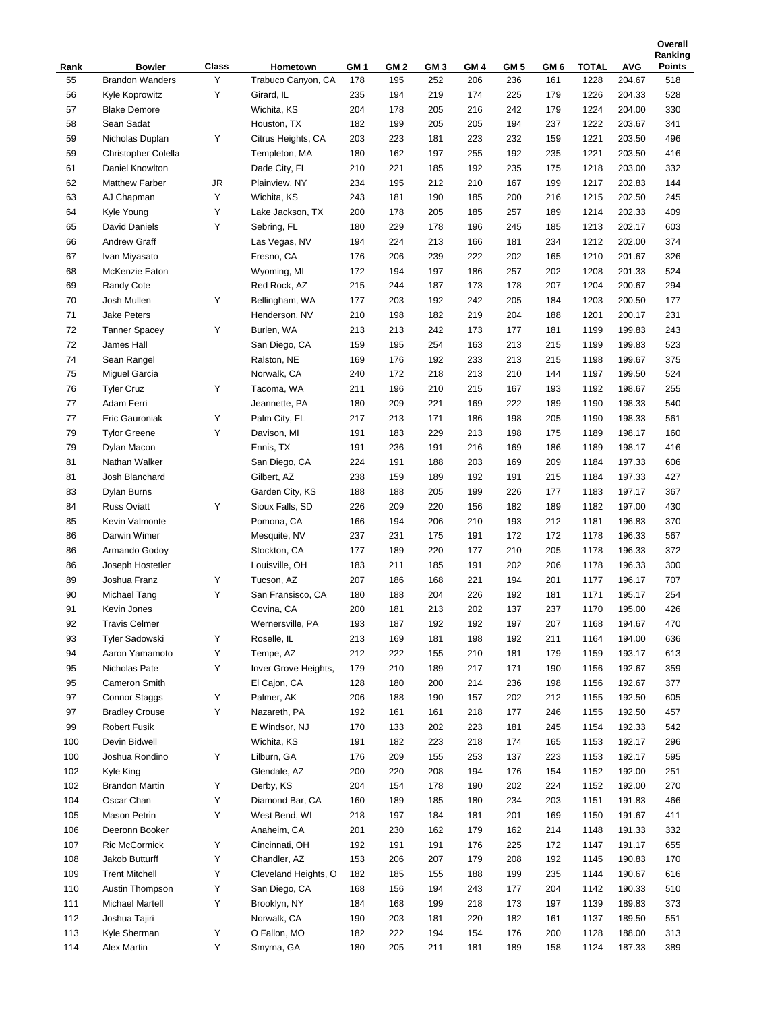|            |                                         |            |                                |                        |                        |             |             |                        |             |                      |                      | Ranking              |
|------------|-----------------------------------------|------------|--------------------------------|------------------------|------------------------|-------------|-------------|------------------------|-------------|----------------------|----------------------|----------------------|
| Rank<br>55 | <b>Bowler</b><br><b>Brandon Wanders</b> | Class<br>Υ | Hometown<br>Trabuco Canyon, CA | GM <sub>1</sub><br>178 | GM <sub>2</sub><br>195 | GM 3<br>252 | GM 4<br>206 | GM <sub>5</sub><br>236 | GM 6<br>161 | <b>TOTAL</b><br>1228 | <b>AVG</b><br>204.67 | <b>Points</b><br>518 |
| 56         |                                         | Υ          | Girard, IL                     | 235                    | 194                    | 219         | 174         | 225                    | 179         | 1226                 |                      | 528                  |
| 57         | Kyle Koprowitz<br><b>Blake Demore</b>   |            | Wichita, KS                    | 204                    | 178                    | 205         | 216         | 242                    | 179         | 1224                 | 204.33<br>204.00     | 330                  |
|            |                                         |            |                                |                        |                        |             |             |                        |             |                      |                      |                      |
| 58         | Sean Sadat<br>Nicholas Duplan           |            | Houston, TX                    | 182                    | 199                    | 205         | 205         | 194                    | 237         | 1222                 | 203.67               | 341                  |
| 59         |                                         | Υ          | Citrus Heights, CA             | 203                    | 223                    | 181         | 223         | 232                    | 159         | 1221                 | 203.50               | 496                  |
| 59         | Christopher Colella                     |            | Templeton, MA                  | 180                    | 162                    | 197         | 255         | 192                    | 235         | 1221                 | 203.50               | 416                  |
| 61         | Daniel Knowlton                         |            | Dade City, FL                  | 210                    | 221                    | 185         | 192         | 235                    | 175         | 1218                 | 203.00               | 332                  |
| 62         | <b>Matthew Farber</b>                   | JR         | Plainview, NY                  | 234                    | 195                    | 212         | 210         | 167                    | 199         | 1217                 | 202.83               | 144                  |
| 63         | AJ Chapman                              | Υ          | Wichita, KS                    | 243                    | 181                    | 190         | 185         | 200                    | 216         | 1215                 | 202.50               | 245                  |
| 64         | Kyle Young                              | Υ          | Lake Jackson, TX               | 200                    | 178                    | 205         | 185         | 257                    | 189         | 1214                 | 202.33               | 409                  |
| 65         | David Daniels                           | Υ          | Sebring, FL                    | 180                    | 229                    | 178         | 196         | 245                    | 185         | 1213                 | 202.17               | 603                  |
| 66         | Andrew Graff                            |            | Las Vegas, NV                  | 194                    | 224                    | 213         | 166         | 181                    | 234         | 1212                 | 202.00               | 374                  |
| 67         | Ivan Miyasato                           |            | Fresno, CA                     | 176                    | 206                    | 239         | 222         | 202                    | 165         | 1210                 | 201.67               | 326                  |
| 68         | McKenzie Eaton                          |            | Wyoming, MI                    | 172                    | 194                    | 197         | 186         | 257                    | 202         | 1208                 | 201.33               | 524                  |
| 69         | Randy Cote                              |            | Red Rock, AZ                   | 215                    | 244                    | 187         | 173         | 178                    | 207         | 1204                 | 200.67               | 294                  |
| 70         | Josh Mullen                             | Υ          | Bellingham, WA                 | 177                    | 203                    | 192         | 242         | 205                    | 184         | 1203                 | 200.50               | 177                  |
| 71         | <b>Jake Peters</b>                      |            | Henderson, NV                  | 210                    | 198                    | 182         | 219         | 204                    | 188         | 1201                 | 200.17               | 231                  |
| 72         | <b>Tanner Spacey</b>                    | Υ          | Burlen, WA                     | 213                    | 213                    | 242         | 173         | 177                    | 181         | 1199                 | 199.83               | 243                  |
| 72         | James Hall                              |            | San Diego, CA                  | 159                    | 195                    | 254         | 163         | 213                    | 215         | 1199                 | 199.83               | 523                  |
| 74         | Sean Rangel                             |            | Ralston, NE                    | 169                    | 176                    | 192         | 233         | 213                    | 215         | 1198                 | 199.67               | 375                  |
| 75         | Miguel Garcia                           |            | Norwalk, CA                    | 240                    | 172                    | 218         | 213         | 210                    | 144         | 1197                 | 199.50               | 524                  |
| 76         | <b>Tyler Cruz</b>                       | Υ          | Tacoma, WA                     | 211                    | 196                    | 210         | 215         | 167                    | 193         | 1192                 | 198.67               | 255                  |
| 77         | Adam Ferri                              |            | Jeannette, PA                  | 180                    | 209                    | 221         | 169         | 222                    | 189         | 1190                 | 198.33               | 540                  |
| 77         | Eric Gauroniak                          | Υ          | Palm City, FL                  | 217                    | 213                    | 171         | 186         | 198                    | 205         | 1190                 | 198.33               | 561                  |
| 79         | <b>Tylor Greene</b>                     | Υ          | Davison, MI                    | 191                    | 183                    | 229         | 213         | 198                    | 175         | 1189                 | 198.17               | 160                  |
| 79         | Dylan Macon                             |            | Ennis, TX                      | 191                    | 236                    | 191         | 216         | 169                    | 186         | 1189                 | 198.17               | 416                  |
| 81         | Nathan Walker                           |            | San Diego, CA                  | 224                    | 191                    | 188         | 203         | 169                    | 209         | 1184                 | 197.33               | 606                  |
| 81         | Josh Blanchard                          |            | Gilbert, AZ                    | 238                    | 159                    | 189         | 192         | 191                    | 215         | 1184                 | 197.33               | 427                  |
| 83         | Dylan Burns                             |            | Garden City, KS                | 188                    | 188                    | 205         | 199         | 226                    | 177         | 1183                 | 197.17               | 367                  |
| 84         | <b>Russ Oviatt</b>                      | Υ          | Sioux Falls, SD                | 226                    | 209                    | 220         | 156         | 182                    | 189         | 1182                 | 197.00               | 430                  |
| 85         | Kevin Valmonte                          |            | Pomona, CA                     | 166                    | 194                    | 206         | 210         | 193                    | 212         | 1181                 | 196.83               | 370                  |
| 86         | Darwin Wimer                            |            | Mesquite, NV                   | 237                    | 231                    | 175         | 191         | 172                    | 172         | 1178                 | 196.33               | 567                  |
| 86         | Armando Godoy                           |            | Stockton, CA                   | 177                    | 189                    | 220         | 177         | 210                    | 205         | 1178                 | 196.33               | 372                  |
| 86         | Joseph Hostetler                        |            | Louisville, OH                 | 183                    | 211                    | 185         | 191         | 202                    | 206         | 1178                 | 196.33               | 300                  |
| 89         | Joshua Franz                            | Υ          | Tucson, AZ                     | 207                    | 186                    | 168         | 221         | 194                    | 201         | 1177                 | 196.17               | 707                  |
| 90         | Michael Tang                            | Υ          | San Fransisco, CA              | 180                    | 188                    | 204         | 226         | 192                    | 181         | 1171                 | 195.17               | 254                  |
| 91         | Kevin Jones                             |            | Covina, CA                     | 200                    | 181                    | 213         | 202         | 137                    | 237         | 1170                 | 195.00               | 426                  |
| 92         | <b>Travis Celmer</b>                    |            | Wernersville, PA               | 193                    | 187                    | 192         | 192         | 197                    | 207         | 1168                 | 194.67               | 470                  |
| 93         | <b>Tyler Sadowski</b>                   | Υ          | Roselle, IL                    | 213                    | 169                    | 181         | 198         | 192                    | 211         | 1164                 | 194.00               | 636                  |
| 94         | Aaron Yamamoto                          | Υ          | Tempe, AZ                      | 212                    | 222                    | 155         | 210         | 181                    | 179         | 1159                 | 193.17               | 613                  |
| 95         | Nicholas Pate                           | Υ          | Inver Grove Heights,           | 179                    | 210                    | 189         | 217         | 171                    | 190         | 1156                 | 192.67               | 359                  |
| 95         | Cameron Smith                           |            | El Cajon, CA                   | 128                    | 180                    | 200         | 214         | 236                    | 198         | 1156                 | 192.67               | 377                  |
| 97         | <b>Connor Staggs</b>                    | Υ          | Palmer, AK                     | 206                    | 188                    | 190         | 157         | 202                    | 212         | 1155                 | 192.50               | 605                  |
| 97         | <b>Bradley Crouse</b>                   | Υ          | Nazareth, PA                   | 192                    | 161                    | 161         | 218         | 177                    | 246         | 1155                 | 192.50               | 457                  |
| 99         | <b>Robert Fusik</b>                     |            | E Windsor, NJ                  | 170                    | 133                    | 202         | 223         | 181                    | 245         | 1154                 | 192.33               | 542                  |
| 100        | Devin Bidwell                           |            | Wichita, KS                    | 191                    | 182                    | 223         | 218         | 174                    | 165         | 1153                 | 192.17               | 296                  |
| 100        | Joshua Rondino                          | Υ          | Lilburn, GA                    | 176                    | 209                    | 155         | 253         | 137                    | 223         | 1153                 | 192.17               | 595                  |
| 102        | Kyle King                               |            | Glendale, AZ                   | 200                    | 220                    | 208         | 194         | 176                    | 154         | 1152                 | 192.00               | 251                  |
| 102        | <b>Brandon Martin</b>                   | Υ          | Derby, KS                      | 204                    | 154                    | 178         | 190         | 202                    | 224         | 1152                 | 192.00               | 270                  |
| 104        | Oscar Chan                              | Υ          | Diamond Bar, CA                | 160                    | 189                    | 185         | 180         | 234                    | 203         | 1151                 | 191.83               | 466                  |
| 105        | Mason Petrin                            | Υ          | West Bend, WI                  | 218                    | 197                    | 184         | 181         | 201                    | 169         | 1150                 | 191.67               | 411                  |
| 106        | Deeronn Booker                          |            | Anaheim, CA                    | 201                    | 230                    | 162         | 179         | 162                    | 214         | 1148                 | 191.33               | 332                  |
| 107        | Ric McCormick                           | Υ          | Cincinnati, OH                 | 192                    | 191                    | 191         | 176         | 225                    | 172         | 1147                 | 191.17               | 655                  |
| 108        | Jakob Butturff                          | Υ          | Chandler, AZ                   | 153                    | 206                    | 207         | 179         | 208                    | 192         | 1145                 | 190.83               | 170                  |
| 109        | <b>Trent Mitchell</b>                   | Υ          | Cleveland Heights, O           | 182                    | 185                    | 155         | 188         | 199                    | 235         | 1144                 | 190.67               | 616                  |
| 110        | Austin Thompson                         | Υ          | San Diego, CA                  | 168                    | 156                    | 194         | 243         | 177                    | 204         | 1142                 | 190.33               | 510                  |
| 111        | Michael Martell                         | Υ          | Brooklyn, NY                   | 184                    | 168                    | 199         | 218         | 173                    | 197         | 1139                 | 189.83               | 373                  |
| 112        | Joshua Tajiri                           |            | Norwalk, CA                    | 190                    | 203                    | 181         | 220         | 182                    | 161         | 1137                 | 189.50               | 551                  |
| 113        | Kyle Sherman                            | Υ          | O Fallon, MO                   | 182                    | 222                    | 194         | 154         | 176                    | 200         | 1128                 | 188.00               | 313                  |
| 114        | Alex Martin                             | Y          | Smyrna, GA                     | 180                    | 205                    | 211         | 181         | 189                    | 158         | 1124                 | 187.33               | 389                  |

**Overall**